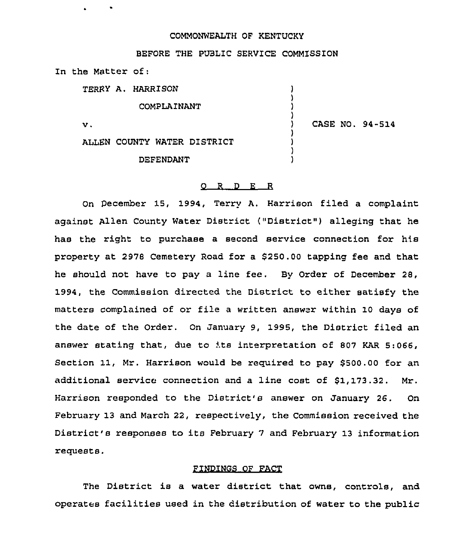## COMMONWEALTH OF KENTUCKY

) ) ) )

) ) ) )

# BEFORE THE PUBLIC SERVICE COMMISSION

In the Matter of:

TERRY A. HARRISON

COMPLAINANT

 $\mathbf{v}$ .

) CASE NO, 94-514

ALLEN COUNTY WATER DISTRICT

DEFENDANT

#### O R D E R

On December 15, 1994, Terry A. Harrison filed a complaint against Allen County Water District ("District" ) alleging that he has the right to purchase a second service connection for his property at 2978 Cemetery Road for a \$250.00 tapping fee and that he should not have to pay a line fee. By Order of December 28, 1994, the Commission directed the District to either satisfy the matters complained of or file a written answer within 10 days of the date of the Order. On January 9, 1995, the District filed an answer stating that, due to its interpretation of <sup>807</sup> KAR 5:066, Section 11, Mr. Harrison would be required to pay \$500.00 for an additional service connection and a line cost of \$1,173.32. Mr. Harrison responded to the District's answer on January 26. On February 13 and March 22, respectively, the Commission received the District's responses to its February 7 and February 13 information requests.

#### FINDINGS OF FACT

The District is a water district that owns, controls, and operates facilities used in the distribution of water to the public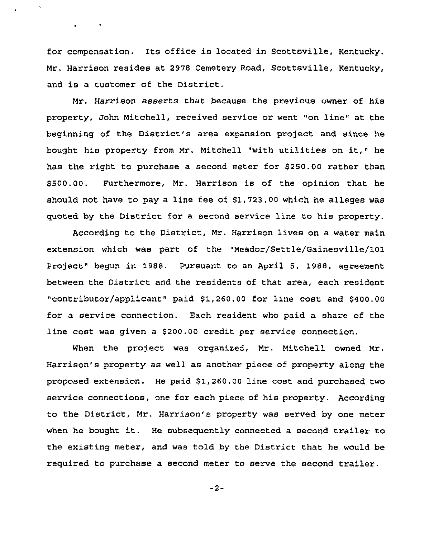for compensation. Its office is located in Scottsville, Kentucky. Mr. Harrison resides at 2978 Cemetery Road, Scottsville, Kentucky, and is <sup>a</sup> customer of the District.

 $\bullet$  . The second second  $\bullet$ 

Nr. Harrison asserts that because the previous owner of his property, John Mitchell, received service or went "on line" at the beginning of the District's area expansion project and since he bought his property from Mr. Mitchell "with utilities on it," he has the right to purchase a second meter for \$250.00 rathez than \$ 500.00. Furthermore, Mr. Harrison is of the opinion that he should not have to pay a line fee of \$1,723.00 which he alleges was quoted by the District for a second service line to his property.

According to the District, Mr. Harrison lives on a water main extension which was part of the "Meador/Settle/Gainesville/101 Project" begun in 1988. Pursuant to an April 5, 1988, agreement between the District and the residents of that area, each resident "contributor/applicant" paid \$1,260.00 for line cost and \$400.00 for a service connection. Each resident who paid a share of the line cost was given a \$200.00 credit per service connection.

When the project was organized, Nr. Mitchell owned Mr. Harrison's property as well as another piece of property along the proposed extension. He paid \$1,260.00 line cost and purchased two service connections, one for each piece of his property. According to the District, Mr. Harrison's property was served by one meter when he bought it. He subsequently connected <sup>a</sup> second trailer to the existing meter, and was told by the District that he would be required to purchase a second meter to serve the second trailer.

 $-2-$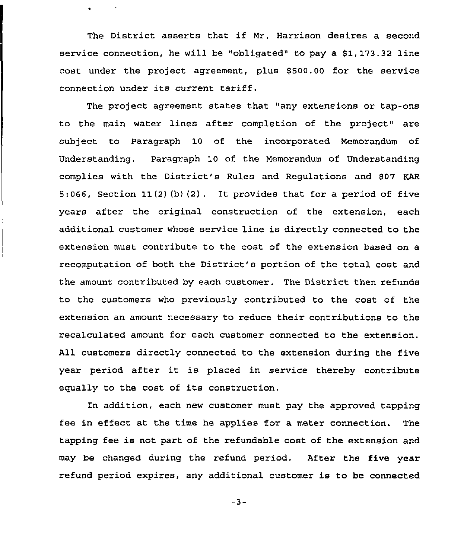The District asserts that if Mr. Harrison desires <sup>a</sup> second service connection, he will be "obligated" to pay a \$1, 173.32 line cost under the project agreement, plus \$500.00 for the service connection under its current tariff.

The project agreement states that "any extensions or tap-ons to the main water lines after completion of the project" are subject to Paragraph 10 of the incorporated Memorandum of Understanding. Paragraph 10 of the Memorandum of Understanding complies with the District's Rules and Regulations and 807 KAR 5:066, Section 11(2)(b)(2). It provides that for <sup>a</sup> period of five years after the original construction of the extension, each additional customer whose service line is directly connected to the extension must contribute to the cost of the extension based on a recomputation of both the District's portion of the total cost and the amount contributed by each customer. The District then refunds to the customers who previously contributed to the cost of the extension an amount necessary to reduce their contributions to the recalculated amount for each customer connected to the extension. All customers directly connected to the extension during the five year period after it is placed in service thereby contribute equally to the cost of its construction.

In addition, each new customer must pay the approved tapping fee in effect at the time he applies for a meter connection. The tapping fee is not part of the refundable cost of the extension and may be changed during the refund period. After the five year refund period expires, any additional customer is to be connected

 $-3-$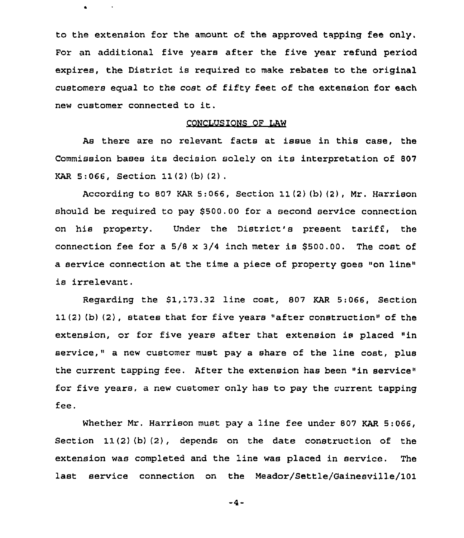to the extension for the amount of the approved tapping fee only. For an additional five years after the five year refund period expires, the District is required to make rebates to the original customers equal to the cost of fifty feet of the extension for each new customer connected to it.

 $\bullet$ 

### CONCLUSIONS OF LAW

As there are no relevant facts at issue in this case, the Commission bases its decision solely on its interpretation of <sup>807</sup> KAR 5:066, Section 11(2) {b) (2) .

According to 807 KAR 5:066, Section 11(2) (b) (2), Mr. Harrison should be required to pay 8500.00 for a second service connection on his property. Under the District's present tariff:, the connection fee for a  $5/8 \times 3/4$  inch meter is \$500.00. The cost of a service connection at the time a piece of property goes "on line" is irrelevant.

Regarding the \$1,173.32 line cost, 807 KAR 5:066, Section 11(2) (b) (2), states that for five years "after construction" of the extension, or for five years after that extension is placed "in service, " a new customer must pay a share of the line cost, plus the current tapping fee. After the extension has been "in service" for five years, a new customer only has to pay the current tapping fee.

Whether Mr. Harrison must pay a line fee under 807 KAR 5:066, Section 11(2)(b)(2), depends on the date construction of the extension was completed and the line was placed in service. The last service connection on the Meadoz/Settle/Gainesville/101

 $-4-$